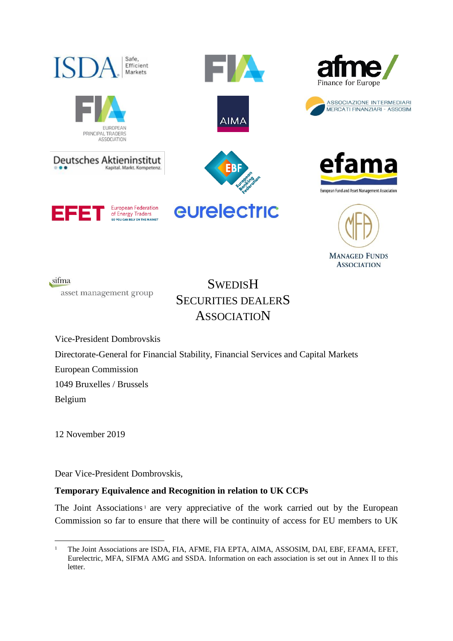









sifma asset management group

**SWEDISH** SECURITIES DEALERS **ASSOCIATION** 

Vice-President Dombrovskis Directorate-General for Financial Stability, Financial Services and Capital Markets European Commission 1049 Bruxelles / Brussels Belgium

12 November 2019

Dear Vice-President Dombrovskis,

# **Temporary Equivalence and Recognition in relation to UK CCPs**

The Joint Associations<sup>1</sup> are very appreciative of the work carried out by the European Commission so far to ensure that there will be continuity of access for EU members to UK

<sup>1</sup> <sup>1</sup> The Joint Associations are ISDA, FIA, AFME, FIA EPTA, AIMA, ASSOSIM, DAI, EBF, EFAMA, EFET, Eurelectric, MFA, SIFMA AMG and SSDA. Information on each association is set out in Annex II to this letter.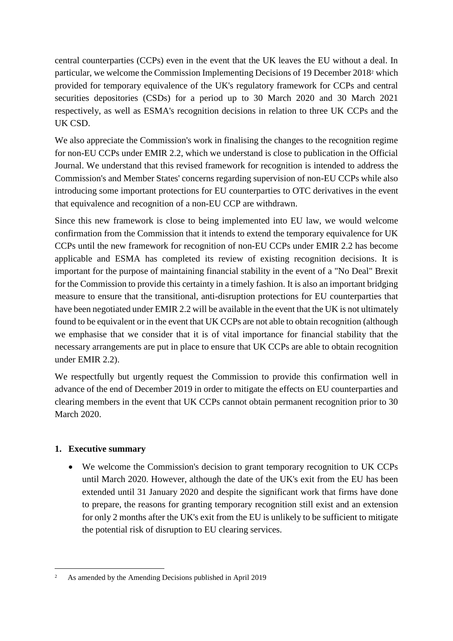central counterparties (CCPs) even in the event that the UK leaves the EU without a deal. In particular, we welcome the Commission Implementing Decisions of 19 December 2018<sup>2</sup> which provided for temporary equivalence of the UK's regulatory framework for CCPs and central securities depositories (CSDs) for a period up to 30 March 2020 and 30 March 2021 respectively, as well as ESMA's recognition decisions in relation to three UK CCPs and the UK CSD.

We also appreciate the Commission's work in finalising the changes to the recognition regime for non-EU CCPs under EMIR 2.2, which we understand is close to publication in the Official Journal. We understand that this revised framework for recognition is intended to address the Commission's and Member States' concerns regarding supervision of non-EU CCPs while also introducing some important protections for EU counterparties to OTC derivatives in the event that equivalence and recognition of a non-EU CCP are withdrawn.

Since this new framework is close to being implemented into EU law, we would welcome confirmation from the Commission that it intends to extend the temporary equivalence for UK CCPs until the new framework for recognition of non-EU CCPs under EMIR 2.2 has become applicable and ESMA has completed its review of existing recognition decisions. It is important for the purpose of maintaining financial stability in the event of a "No Deal" Brexit for the Commission to provide this certainty in a timely fashion. It is also an important bridging measure to ensure that the transitional, anti-disruption protections for EU counterparties that have been negotiated under EMIR 2.2 will be available in the event that the UK is not ultimately found to be equivalent or in the event that UK CCPs are not able to obtain recognition (although we emphasise that we consider that it is of vital importance for financial stability that the necessary arrangements are put in place to ensure that UK CCPs are able to obtain recognition under EMIR 2.2).

We respectfully but urgently request the Commission to provide this confirmation well in advance of the end of December 2019 in order to mitigate the effects on EU counterparties and clearing members in the event that UK CCPs cannot obtain permanent recognition prior to 30 March 2020.

# **1. Executive summary**

• We welcome the Commission's decision to grant temporary recognition to UK CCPs until March 2020. However, although the date of the UK's exit from the EU has been extended until 31 January 2020 and despite the significant work that firms have done to prepare, the reasons for granting temporary recognition still exist and an extension for only 2 months after the UK's exit from the EU is unlikely to be sufficient to mitigate the potential risk of disruption to EU clearing services.

<sup>1</sup> <sup>2</sup> As amended by the Amending Decisions published in April 2019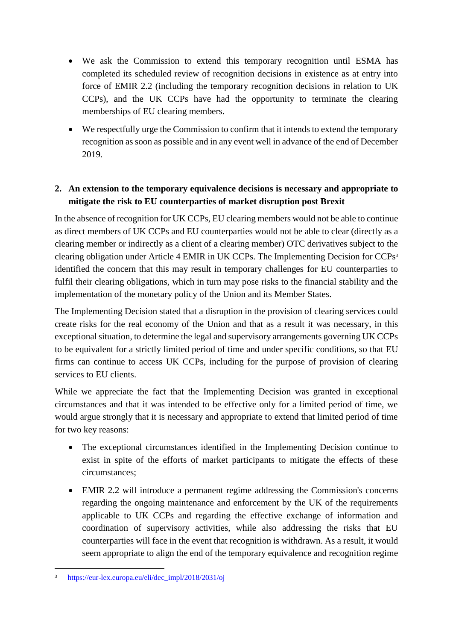- We ask the Commission to extend this temporary recognition until ESMA has completed its scheduled review of recognition decisions in existence as at entry into force of EMIR 2.2 (including the temporary recognition decisions in relation to UK CCPs), and the UK CCPs have had the opportunity to terminate the clearing memberships of EU clearing members.
- We respectfully urge the Commission to confirm that it intends to extend the temporary recognition as soon as possible and in any event well in advance of the end of December 2019.

# **2. An extension to the temporary equivalence decisions is necessary and appropriate to mitigate the risk to EU counterparties of market disruption post Brexit**

In the absence of recognition for UK CCPs, EU clearing members would not be able to continue as direct members of UK CCPs and EU counterparties would not be able to clear (directly as a clearing member or indirectly as a client of a clearing member) OTC derivatives subject to the clearing obligation under Article 4 EMIR in UK CCPs. The Implementing Decision for CCPs<sup>3</sup> identified the concern that this may result in temporary challenges for EU counterparties to fulfil their clearing obligations, which in turn may pose risks to the financial stability and the implementation of the monetary policy of the Union and its Member States.

The Implementing Decision stated that a disruption in the provision of clearing services could create risks for the real economy of the Union and that as a result it was necessary, in this exceptional situation, to determine the legal and supervisory arrangements governing UK CCPs to be equivalent for a strictly limited period of time and under specific conditions, so that EU firms can continue to access UK CCPs, including for the purpose of provision of clearing services to EU clients.

While we appreciate the fact that the Implementing Decision was granted in exceptional circumstances and that it was intended to be effective only for a limited period of time, we would argue strongly that it is necessary and appropriate to extend that limited period of time for two key reasons:

- The exceptional circumstances identified in the Implementing Decision continue to exist in spite of the efforts of market participants to mitigate the effects of these circumstances;
- EMIR 2.2 will introduce a permanent regime addressing the Commission's concerns regarding the ongoing maintenance and enforcement by the UK of the requirements applicable to UK CCPs and regarding the effective exchange of information and coordination of supervisory activities, while also addressing the risks that EU counterparties will face in the event that recognition is withdrawn. As a result, it would seem appropriate to align the end of the temporary equivalence and recognition regime

1

<sup>3</sup> [https://eur-lex.europa.eu/eli/dec\\_impl/2018/2031/oj](https://eur-lex.europa.eu/eli/dec_impl/2018/2031/oj)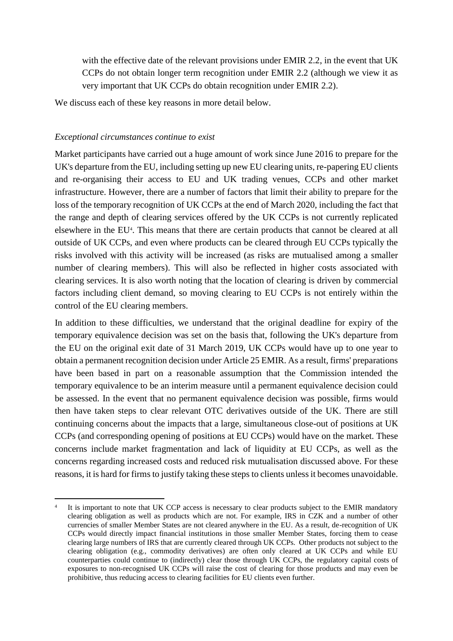with the effective date of the relevant provisions under EMIR 2.2, in the event that UK CCPs do not obtain longer term recognition under EMIR 2.2 (although we view it as very important that UK CCPs do obtain recognition under EMIR 2.2).

We discuss each of these key reasons in more detail below.

## *Exceptional circumstances continue to exist*

<u>.</u>

Market participants have carried out a huge amount of work since June 2016 to prepare for the UK's departure from the EU, including setting up new EU clearing units, re-papering EU clients and re-organising their access to EU and UK trading venues, CCPs and other market infrastructure. However, there are a number of factors that limit their ability to prepare for the loss of the temporary recognition of UK CCPs at the end of March 2020, including the fact that the range and depth of clearing services offered by the UK CCPs is not currently replicated elsewhere in the EU<sup>4</sup>. This means that there are certain products that cannot be cleared at all outside of UK CCPs, and even where products can be cleared through EU CCPs typically the risks involved with this activity will be increased (as risks are mutualised among a smaller number of clearing members). This will also be reflected in higher costs associated with clearing services. It is also worth noting that the location of clearing is driven by commercial factors including client demand, so moving clearing to EU CCPs is not entirely within the control of the EU clearing members.

In addition to these difficulties, we understand that the original deadline for expiry of the temporary equivalence decision was set on the basis that, following the UK's departure from the EU on the original exit date of 31 March 2019, UK CCPs would have up to one year to obtain a permanent recognition decision under Article 25 EMIR. As a result, firms' preparations have been based in part on a reasonable assumption that the Commission intended the temporary equivalence to be an interim measure until a permanent equivalence decision could be assessed. In the event that no permanent equivalence decision was possible, firms would then have taken steps to clear relevant OTC derivatives outside of the UK. There are still continuing concerns about the impacts that a large, simultaneous close-out of positions at UK CCPs (and corresponding opening of positions at EU CCPs) would have on the market. These concerns include market fragmentation and lack of liquidity at EU CCPs, as well as the concerns regarding increased costs and reduced risk mutualisation discussed above. For these reasons, it is hard for firms to justify taking these steps to clients unless it becomes unavoidable.

<sup>4</sup> It is important to note that UK CCP access is necessary to clear products subject to the EMIR mandatory clearing obligation as well as products which are not. For example, IRS in CZK and a number of other currencies of smaller Member States are not cleared anywhere in the EU. As a result, de-recognition of UK CCPs would directly impact financial institutions in those smaller Member States, forcing them to cease clearing large numbers of IRS that are currently cleared through UK CCPs. Other products not subject to the clearing obligation (e.g., commodity derivatives) are often only cleared at UK CCPs and while EU counterparties could continue to (indirectly) clear those through UK CCPs, the regulatory capital costs of exposures to non-recognised UK CCPs will raise the cost of clearing for those products and may even be prohibitive, thus reducing access to clearing facilities for EU clients even further.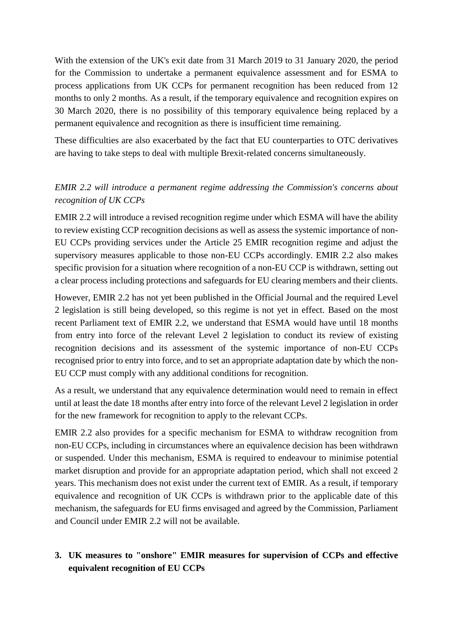With the extension of the UK's exit date from 31 March 2019 to 31 January 2020, the period for the Commission to undertake a permanent equivalence assessment and for ESMA to process applications from UK CCPs for permanent recognition has been reduced from 12 months to only 2 months. As a result, if the temporary equivalence and recognition expires on 30 March 2020, there is no possibility of this temporary equivalence being replaced by a permanent equivalence and recognition as there is insufficient time remaining.

These difficulties are also exacerbated by the fact that EU counterparties to OTC derivatives are having to take steps to deal with multiple Brexit-related concerns simultaneously.

# *EMIR 2.2 will introduce a permanent regime addressing the Commission's concerns about recognition of UK CCPs*

EMIR 2.2 will introduce a revised recognition regime under which ESMA will have the ability to review existing CCP recognition decisions as well as assess the systemic importance of non-EU CCPs providing services under the Article 25 EMIR recognition regime and adjust the supervisory measures applicable to those non-EU CCPs accordingly. EMIR 2.2 also makes specific provision for a situation where recognition of a non-EU CCP is withdrawn, setting out a clear process including protections and safeguards for EU clearing members and their clients.

However, EMIR 2.2 has not yet been published in the Official Journal and the required Level 2 legislation is still being developed, so this regime is not yet in effect. Based on the most recent Parliament text of EMIR 2.2, we understand that ESMA would have until 18 months from entry into force of the relevant Level 2 legislation to conduct its review of existing recognition decisions and its assessment of the systemic importance of non-EU CCPs recognised prior to entry into force, and to set an appropriate adaptation date by which the non-EU CCP must comply with any additional conditions for recognition.

As a result, we understand that any equivalence determination would need to remain in effect until at least the date 18 months after entry into force of the relevant Level 2 legislation in order for the new framework for recognition to apply to the relevant CCPs.

EMIR 2.2 also provides for a specific mechanism for ESMA to withdraw recognition from non-EU CCPs, including in circumstances where an equivalence decision has been withdrawn or suspended. Under this mechanism, ESMA is required to endeavour to minimise potential market disruption and provide for an appropriate adaptation period, which shall not exceed 2 years. This mechanism does not exist under the current text of EMIR. As a result, if temporary equivalence and recognition of UK CCPs is withdrawn prior to the applicable date of this mechanism, the safeguards for EU firms envisaged and agreed by the Commission, Parliament and Council under EMIR 2.2 will not be available.

# **3. UK measures to "onshore" EMIR measures for supervision of CCPs and effective equivalent recognition of EU CCPs**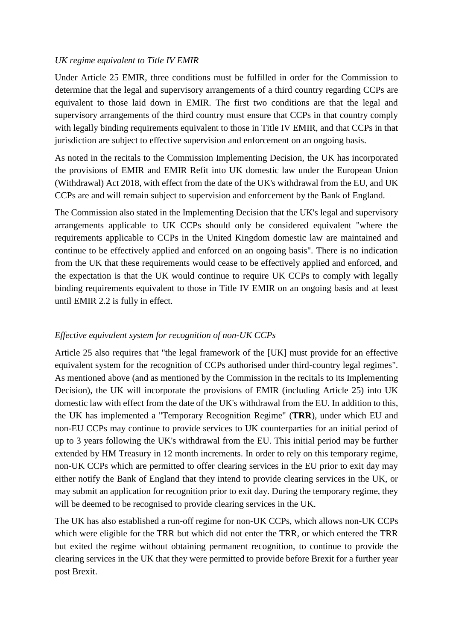## *UK regime equivalent to Title IV EMIR*

Under Article 25 EMIR, three conditions must be fulfilled in order for the Commission to determine that the legal and supervisory arrangements of a third country regarding CCPs are equivalent to those laid down in EMIR. The first two conditions are that the legal and supervisory arrangements of the third country must ensure that CCPs in that country comply with legally binding requirements equivalent to those in Title IV EMIR, and that CCPs in that jurisdiction are subject to effective supervision and enforcement on an ongoing basis.

As noted in the recitals to the Commission Implementing Decision, the UK has incorporated the provisions of EMIR and EMIR Refit into UK domestic law under the European Union (Withdrawal) Act 2018, with effect from the date of the UK's withdrawal from the EU, and UK CCPs are and will remain subject to supervision and enforcement by the Bank of England.

The Commission also stated in the Implementing Decision that the UK's legal and supervisory arrangements applicable to UK CCPs should only be considered equivalent "where the requirements applicable to CCPs in the United Kingdom domestic law are maintained and continue to be effectively applied and enforced on an ongoing basis". There is no indication from the UK that these requirements would cease to be effectively applied and enforced, and the expectation is that the UK would continue to require UK CCPs to comply with legally binding requirements equivalent to those in Title IV EMIR on an ongoing basis and at least until EMIR 2.2 is fully in effect.

# *Effective equivalent system for recognition of non-UK CCPs*

Article 25 also requires that "the legal framework of the [UK] must provide for an effective equivalent system for the recognition of CCPs authorised under third-country legal regimes". As mentioned above (and as mentioned by the Commission in the recitals to its Implementing Decision), the UK will incorporate the provisions of EMIR (including Article 25) into UK domestic law with effect from the date of the UK's withdrawal from the EU. In addition to this, the UK has implemented a "Temporary Recognition Regime" (**TRR**), under which EU and non-EU CCPs may continue to provide services to UK counterparties for an initial period of up to 3 years following the UK's withdrawal from the EU. This initial period may be further extended by HM Treasury in 12 month increments. In order to rely on this temporary regime, non-UK CCPs which are permitted to offer clearing services in the EU prior to exit day may either notify the Bank of England that they intend to provide clearing services in the UK, or may submit an application for recognition prior to exit day. During the temporary regime, they will be deemed to be recognised to provide clearing services in the UK.

The UK has also established a run-off regime for non-UK CCPs, which allows non-UK CCPs which were eligible for the TRR but which did not enter the TRR, or which entered the TRR but exited the regime without obtaining permanent recognition, to continue to provide the clearing services in the UK that they were permitted to provide before Brexit for a further year post Brexit.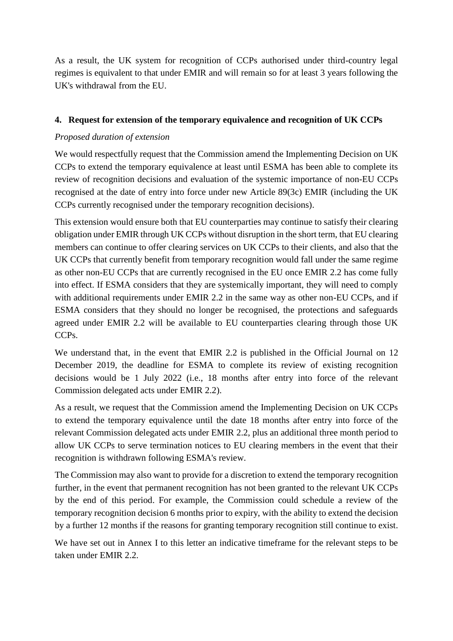As a result, the UK system for recognition of CCPs authorised under third-country legal regimes is equivalent to that under EMIR and will remain so for at least 3 years following the UK's withdrawal from the EU.

# **4. Request for extension of the temporary equivalence and recognition of UK CCPs**

# *Proposed duration of extension*

We would respectfully request that the Commission amend the Implementing Decision on UK CCPs to extend the temporary equivalence at least until ESMA has been able to complete its review of recognition decisions and evaluation of the systemic importance of non-EU CCPs recognised at the date of entry into force under new Article 89(3c) EMIR (including the UK CCPs currently recognised under the temporary recognition decisions).

This extension would ensure both that EU counterparties may continue to satisfy their clearing obligation under EMIR through UK CCPs without disruption in the short term, that EU clearing members can continue to offer clearing services on UK CCPs to their clients, and also that the UK CCPs that currently benefit from temporary recognition would fall under the same regime as other non-EU CCPs that are currently recognised in the EU once EMIR 2.2 has come fully into effect. If ESMA considers that they are systemically important, they will need to comply with additional requirements under EMIR 2.2 in the same way as other non-EU CCPs, and if ESMA considers that they should no longer be recognised, the protections and safeguards agreed under EMIR 2.2 will be available to EU counterparties clearing through those UK CCPs.

We understand that, in the event that EMIR 2.2 is published in the Official Journal on 12 December 2019, the deadline for ESMA to complete its review of existing recognition decisions would be 1 July 2022 (i.e., 18 months after entry into force of the relevant Commission delegated acts under EMIR 2.2).

As a result, we request that the Commission amend the Implementing Decision on UK CCPs to extend the temporary equivalence until the date 18 months after entry into force of the relevant Commission delegated acts under EMIR 2.2, plus an additional three month period to allow UK CCPs to serve termination notices to EU clearing members in the event that their recognition is withdrawn following ESMA's review.

The Commission may also want to provide for a discretion to extend the temporary recognition further, in the event that permanent recognition has not been granted to the relevant UK CCPs by the end of this period. For example, the Commission could schedule a review of the temporary recognition decision 6 months prior to expiry, with the ability to extend the decision by a further 12 months if the reasons for granting temporary recognition still continue to exist.

We have set out in Annex I to this letter an indicative timeframe for the relevant steps to be taken under EMIR 2.2.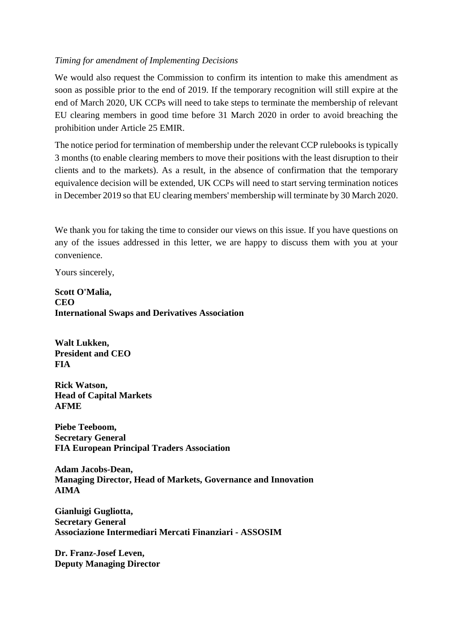## *Timing for amendment of Implementing Decisions*

We would also request the Commission to confirm its intention to make this amendment as soon as possible prior to the end of 2019. If the temporary recognition will still expire at the end of March 2020, UK CCPs will need to take steps to terminate the membership of relevant EU clearing members in good time before 31 March 2020 in order to avoid breaching the prohibition under Article 25 EMIR.

The notice period for termination of membership under the relevant CCP rulebooks is typically 3 months (to enable clearing members to move their positions with the least disruption to their clients and to the markets). As a result, in the absence of confirmation that the temporary equivalence decision will be extended, UK CCPs will need to start serving termination notices in December 2019 so that EU clearing members' membership will terminate by 30 March 2020.

We thank you for taking the time to consider our views on this issue. If you have questions on any of the issues addressed in this letter, we are happy to discuss them with you at your convenience.

Yours sincerely,

**Scott O'Malia, CEO International Swaps and Derivatives Association**

**Walt Lukken, President and CEO FIA**

**Rick Watson, Head of Capital Markets AFME**

**Piebe Teeboom, Secretary General FIA European Principal Traders Association**

**Adam Jacobs-Dean, Managing Director, Head of Markets, Governance and Innovation AIMA**

**Gianluigi Gugliotta, Secretary General Associazione Intermediari Mercati Finanziari - ASSOSIM**

**Dr. Franz-Josef Leven, Deputy Managing Director**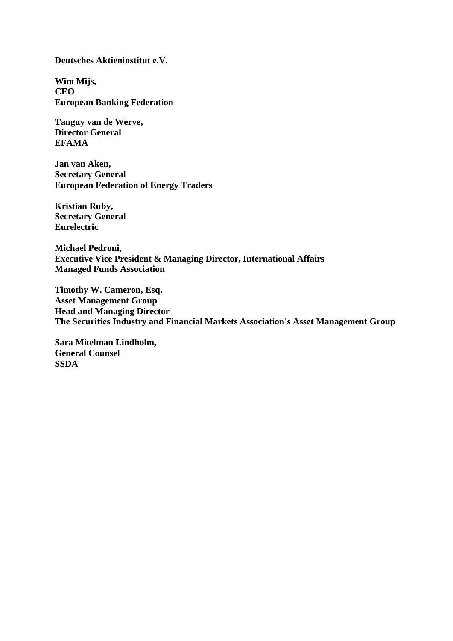**Deutsches Aktieninstitut e.V.**

**Wim Mijs, CEO European Banking Federation**

**Tanguy van de Werve, Director General EFAMA**

**Jan van Aken, Secretary General European Federation of Energy Traders**

**Kristian Ruby, Secretary General Eurelectric**

**Michael Pedroni, Executive Vice President & Managing Director, International Affairs Managed Funds Association**

**Timothy W. Cameron, Esq. Asset Management Group Head and Managing Director The Securities Industry and Financial Markets Association's Asset Management Group**

**Sara Mitelman Lindholm, General Counsel SSDA**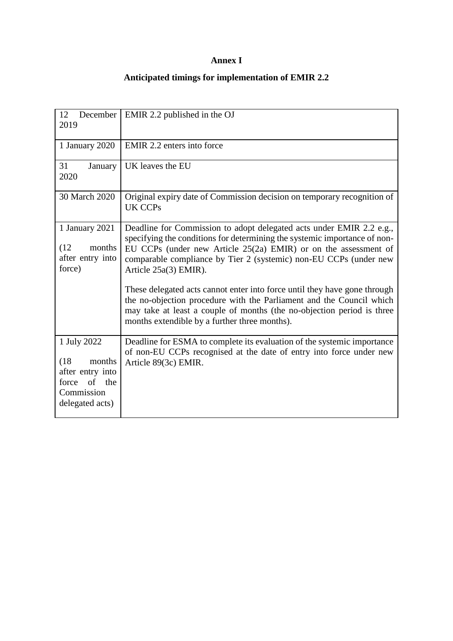# **Annex I**

# **Anticipated timings for implementation of EMIR 2.2**

| December<br>12<br>2019                                                                                | EMIR 2.2 published in the OJ                                                                                                                                                                                                                                                                                       |
|-------------------------------------------------------------------------------------------------------|--------------------------------------------------------------------------------------------------------------------------------------------------------------------------------------------------------------------------------------------------------------------------------------------------------------------|
| 1 January 2020                                                                                        | EMIR 2.2 enters into force                                                                                                                                                                                                                                                                                         |
| 31<br>January<br>2020                                                                                 | UK leaves the EU                                                                                                                                                                                                                                                                                                   |
| 30 March 2020                                                                                         | Original expiry date of Commission decision on temporary recognition of<br><b>UK CCPs</b>                                                                                                                                                                                                                          |
| 1 January 2021<br>(12)<br>months<br>after entry into<br>force)                                        | Deadline for Commission to adopt delegated acts under EMIR 2.2 e.g.,<br>specifying the conditions for determining the systemic importance of non-<br>EU CCPs (under new Article 25(2a) EMIR) or on the assessment of<br>comparable compliance by Tier 2 (systemic) non-EU CCPs (under new<br>Article 25a(3) EMIR). |
|                                                                                                       | These delegated acts cannot enter into force until they have gone through<br>the no-objection procedure with the Parliament and the Council which<br>may take at least a couple of months (the no-objection period is three<br>months extendible by a further three months).                                       |
| 1 July 2022<br>(18)<br>months<br>after entry into<br>of the<br>force<br>Commission<br>delegated acts) | Deadline for ESMA to complete its evaluation of the systemic importance<br>of non-EU CCPs recognised at the date of entry into force under new<br>Article 89(3c) EMIR.                                                                                                                                             |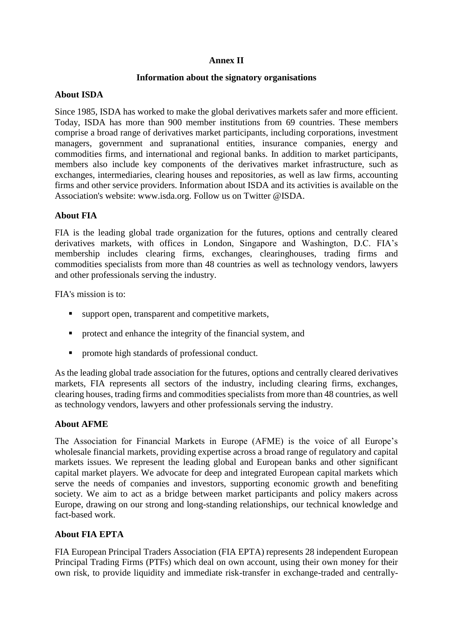## **Annex II**

#### **Information about the signatory organisations**

#### **About ISDA**

Since 1985, ISDA has worked to make the global derivatives markets safer and more efficient. Today, ISDA has more than 900 member institutions from 69 countries. These members comprise a broad range of derivatives market participants, including corporations, investment managers, government and supranational entities, insurance companies, energy and commodities firms, and international and regional banks. In addition to market participants, members also include key components of the derivatives market infrastructure, such as exchanges, intermediaries, clearing houses and repositories, as well as law firms, accounting firms and other service providers. Information about ISDA and its activities is available on the Association's website: www.isda.org. Follow us on Twitter @ISDA.

# **About FIA**

FIA is the leading global trade organization for the futures, options and centrally cleared derivatives markets, with offices in London, Singapore and Washington, D.C. FIA's membership includes clearing firms, exchanges, clearinghouses, trading firms and commodities specialists from more than 48 countries as well as technology vendors, lawyers and other professionals serving the industry.

FIA's mission is to:

- support open, transparent and competitive markets,
- protect and enhance the integrity of the financial system, and
- promote high standards of professional conduct.

As the leading global trade association for the futures, options and centrally cleared derivatives markets, FIA represents all sectors of the industry, including clearing firms, exchanges, clearing houses, trading firms and commodities specialists from more than 48 countries, as well as technology vendors, lawyers and other professionals serving the industry.

# **About AFME**

The Association for Financial Markets in Europe (AFME) is the voice of all Europe's wholesale financial markets, providing expertise across a broad range of regulatory and capital markets issues. We represent the leading global and European banks and other significant capital market players. We advocate for deep and integrated European capital markets which serve the needs of companies and investors, supporting economic growth and benefiting society. We aim to act as a bridge between market participants and policy makers across Europe, drawing on our strong and long-standing relationships, our technical knowledge and fact-based work.

#### **About FIA EPTA**

FIA European Principal Traders Association (FIA EPTA) represents 28 independent European Principal Trading Firms (PTFs) which deal on own account, using their own money for their own risk, to provide liquidity and immediate risk-transfer in exchange-traded and centrally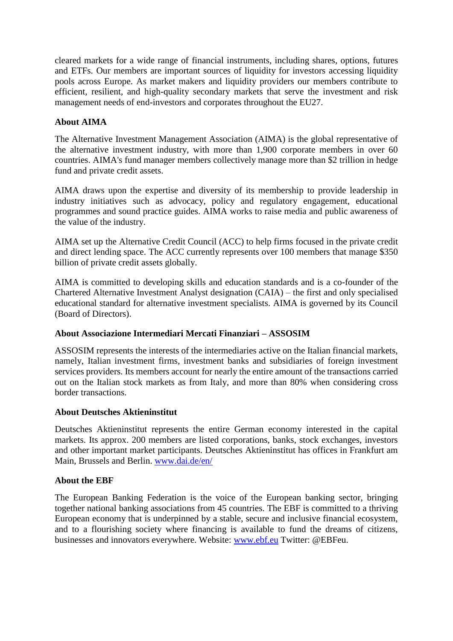cleared markets for a wide range of financial instruments, including shares, options, futures and ETFs. Our members are important sources of liquidity for investors accessing liquidity pools across Europe. As market makers and liquidity providers our members contribute to efficient, resilient, and high-quality secondary markets that serve the investment and risk management needs of end-investors and corporates throughout the EU27.

# **About AIMA**

The Alternative Investment Management Association (AIMA) is the global representative of the alternative investment industry, with more than 1,900 corporate members in over 60 countries. AIMA's fund manager members collectively manage more than \$2 trillion in hedge fund and private credit assets.

AIMA draws upon the expertise and diversity of its membership to provide leadership in industry initiatives such as advocacy, policy and regulatory engagement, educational programmes and sound practice guides. AIMA works to raise media and public awareness of the value of the industry.

AIMA set up the Alternative Credit Council (ACC) to help firms focused in the private credit and direct lending space. The ACC currently represents over 100 members that manage \$350 billion of private credit assets globally.

AIMA is committed to developing skills and education standards and is a co-founder of the Chartered Alternative Investment Analyst designation (CAIA) – the first and only specialised educational standard for alternative investment specialists. AIMA is governed by its Council (Board of Directors).

# **About Associazione Intermediari Mercati Finanziari – ASSOSIM**

ASSOSIM represents the interests of the intermediaries active on the Italian financial markets, namely, Italian investment firms, investment banks and subsidiaries of foreign investment services providers. Its members account for nearly the entire amount of the transactions carried out on the Italian stock markets as from Italy, and more than 80% when considering cross border transactions.

# **About Deutsches Aktieninstitut**

Deutsches Aktieninstitut represents the entire German economy interested in the capital markets. Its approx. 200 members are listed corporations, banks, stock exchanges, investors and other important market participants. Deutsches Aktieninstitut has offices in Frankfurt am Main, Brussels and Berlin. [www.dai.de/en/](http://www.dai.de/en/)

# **About the EBF**

The European Banking Federation is the voice of the European banking sector, bringing together national banking associations from 45 countries. The EBF is committed to a thriving European economy that is underpinned by a stable, secure and inclusive financial ecosystem, and to a flourishing society where financing is available to fund the dreams of citizens, businesses and innovators everywhere. Website: [www.ebf.eu](http://www.ebf.eu/) Twitter: @EBFeu.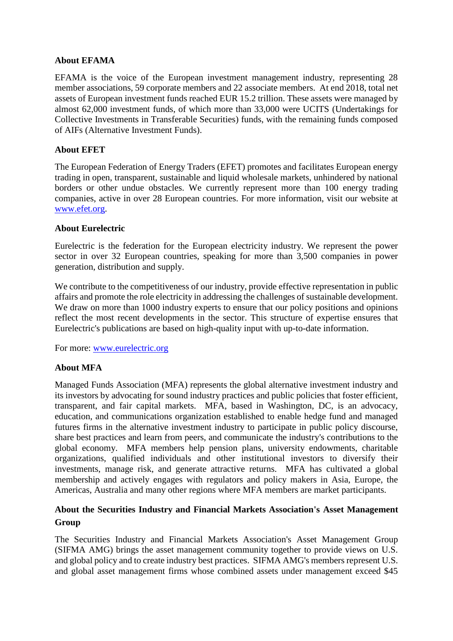## **About EFAMA**

EFAMA is the voice of the European investment management industry, representing 28 member associations, 59 corporate members and 22 associate members. At end 2018, total net assets of European investment funds reached EUR 15.2 trillion. These assets were managed by almost 62,000 investment funds, of which more than 33,000 were UCITS (Undertakings for Collective Investments in Transferable Securities) funds, with the remaining funds composed of AIFs (Alternative Investment Funds).

# **About EFET**

The European Federation of Energy Traders (EFET) promotes and facilitates European energy trading in open, transparent, sustainable and liquid wholesale markets, unhindered by national borders or other undue obstacles. We currently represent more than 100 energy trading companies, active in over 28 European countries. For more information, visit our website at [www.efet.org.](http://www.efet.org/)

#### **About Eurelectric**

Eurelectric is the federation for the European electricity industry. We represent the power sector in over 32 European countries, speaking for more than 3,500 companies in power generation, distribution and supply.

We contribute to the competitiveness of our industry, provide effective representation in public affairs and promote the role electricity in addressing the challenges of sustainable development. We draw on more than 1000 industry experts to ensure that our policy positions and opinions reflect the most recent developments in the sector. This structure of expertise ensures that Eurelectric's publications are based on high-quality input with up-to-date information.

For more: [www.eurelectric.org](http://www.eurelectric.org/)

# **About MFA**

Managed Funds Association (MFA) represents the global alternative investment industry and its investors by advocating for sound industry practices and public policies that foster efficient, transparent, and fair capital markets. MFA, based in Washington, DC, is an advocacy, education, and communications organization established to enable hedge fund and managed futures firms in the alternative investment industry to participate in public policy discourse, share best practices and learn from peers, and communicate the industry's contributions to the global economy. MFA members help pension plans, university endowments, charitable organizations, qualified individuals and other institutional investors to diversify their investments, manage risk, and generate attractive returns. MFA has cultivated a global membership and actively engages with regulators and policy makers in Asia, Europe, the Americas, Australia and many other regions where MFA members are market participants.

# **About the Securities Industry and Financial Markets Association's Asset Management Group**

The Securities Industry and Financial Markets Association's Asset Management Group (SIFMA AMG) brings the asset management community together to provide views on U.S. and global policy and to create industry best practices. SIFMA AMG's members represent U.S. and global asset management firms whose combined assets under management exceed \$45